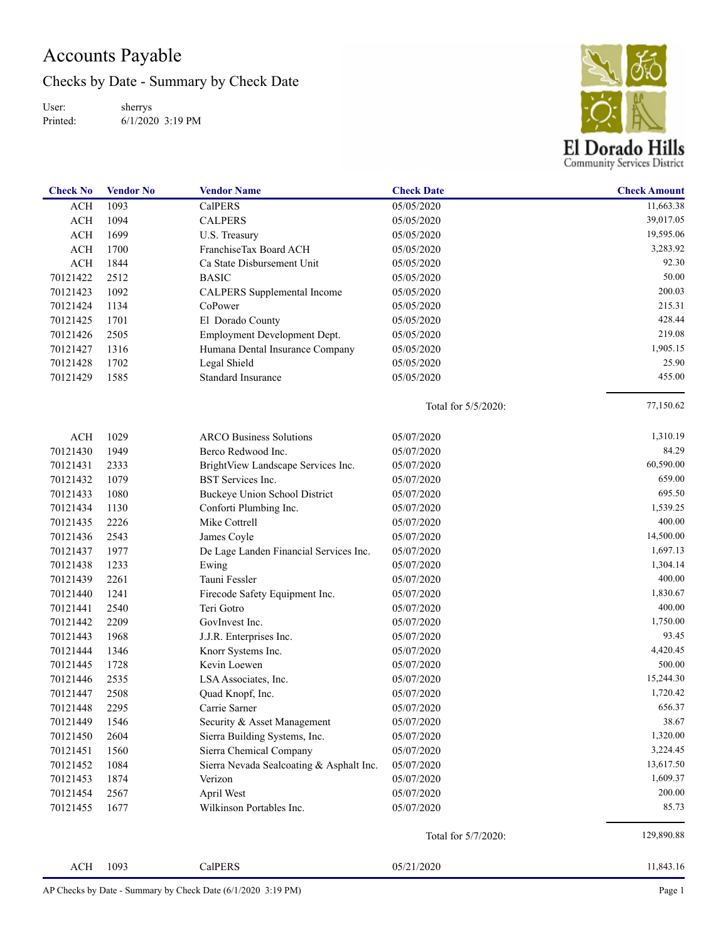## Accounts Payable

Checks by Date - Summary by Check Date

User: Printed: sherrys 6/1/2020 3:19 PM



| <b>Check No</b> | <b>Vendor No</b> | <b>Vendor Name</b>                       | <b>Check Date</b>        | <b>Check Amount</b> |
|-----------------|------------------|------------------------------------------|--------------------------|---------------------|
| <b>ACH</b>      | 1093             | <b>CalPERS</b>                           | 05/05/2020               | 11,663.38           |
| ACH             | 1094             | <b>CALPERS</b>                           | 05/05/2020               | 39,017.05           |
| ACH             | 1699             | U.S. Treasury                            | 05/05/2020               | 19,595.06           |
| ACH             | 1700             | FranchiseTax Board ACH                   | 05/05/2020               | 3,283.92            |
| ACH             | 1844             | Ca State Disbursement Unit               | 05/05/2020               | 92.30               |
| 70121422        | 2512             | <b>BASIC</b>                             | 05/05/2020               | 50.00               |
| 70121423        | 1092             | CALPERS Supplemental Income              | 05/05/2020               | 200.03              |
| 70121424        | 1134             | CoPower                                  | 05/05/2020               | 215.31              |
| 70121425        | 1701             | El Dorado County                         | 05/05/2020               | 428.44              |
| 70121426        | 2505             | Employment Development Dept.             | 05/05/2020               | 219.08              |
| 70121427        | 1316             | Humana Dental Insurance Company          | 05/05/2020               | 1,905.15            |
| 70121428        | 1702             | Legal Shield                             | 05/05/2020               | 25.90               |
| 70121429        | 1585             | Standard Insurance                       | 05/05/2020               | 455.00              |
|                 |                  |                                          | Total for 5/5/2020:      | 77,150.62           |
| ACH             | 1029             | <b>ARCO Business Solutions</b>           | 05/07/2020               | 1,310.19            |
| 70121430        | 1949             | Berco Redwood Inc.                       | 05/07/2020               | 84.29               |
| 70121431        | 2333             | BrightView Landscape Services Inc.       | 05/07/2020               | 60,590.00           |
| 70121432        | 1079             | <b>BST</b> Services Inc.                 | 05/07/2020               | 659.00              |
| 70121433        | 1080             | <b>Buckeye Union School District</b>     | 05/07/2020               | 695.50              |
| 70121434        | 1130             | Conforti Plumbing Inc.                   | 05/07/2020               | 1,539.25            |
| 70121435        | 2226             | Mike Cottrell                            | 05/07/2020               | 400.00              |
| 70121436        | 2543             | James Coyle                              | 05/07/2020               | 14,500.00           |
| 70121437        | 1977             | De Lage Landen Financial Services Inc.   | 05/07/2020               | 1,697.13            |
| 70121438        | 1233             | Ewing                                    | 05/07/2020               | 1,304.14            |
| 70121439        | 2261             | Tauni Fessler                            | 05/07/2020               | 400.00              |
| 70121440        | 1241             | Firecode Safety Equipment Inc.           | 05/07/2020               | 1,830.67            |
| 70121441        | 2540             | Teri Gotro                               | 05/07/2020               | 400.00              |
| 70121442        | 2209             | GovInvest Inc.                           | 05/07/2020               | 1,750.00            |
| 70121443        | 1968             |                                          | 05/07/2020               | 93.45               |
|                 |                  | J.J.R. Enterprises Inc.                  |                          | 4,420.45            |
| 70121444        | 1346             | Knorr Systems Inc.<br>Kevin Loewen       | 05/07/2020               | 500.00              |
| 70121445        | 1728             |                                          | 05/07/2020               | 15,244.30           |
| 70121446        | 2535<br>2508     | LSA Associates, Inc.                     | 05/07/2020<br>05/07/2020 | 1,720.42            |
| 70121447        |                  | Quad Knopf, Inc.                         | 05/07/2020               | 656.37              |
| 70121448        | 2295             | Carrie Sarner                            |                          | 38.67               |
| 70121449        | 1546             | Security & Asset Management              | 05/07/2020               | 1,320.00            |
| 70121450        | 2604             | Sierra Building Systems, Inc.            | 05/07/2020               |                     |
| 70121451        | 1560             | Sierra Chemical Company                  | 05/07/2020               | 3,224.45            |
| 70121452        | 1084             | Sierra Nevada Sealcoating & Asphalt Inc. | 05/07/2020               | 13,617.50           |
| 70121453        | 1874             | Verizon                                  | 05/07/2020               | 1,609.37            |
| 70121454        | 2567             | April West                               | 05/07/2020               | 200.00              |
| 70121455        | 1677             | Wilkinson Portables Inc.                 | 05/07/2020               | 85.73               |
|                 |                  |                                          | Total for 5/7/2020:      | 129,890.88          |
| $\rm ACH$       | 1093             | CalPERS                                  | 05/21/2020               | 11,843.16           |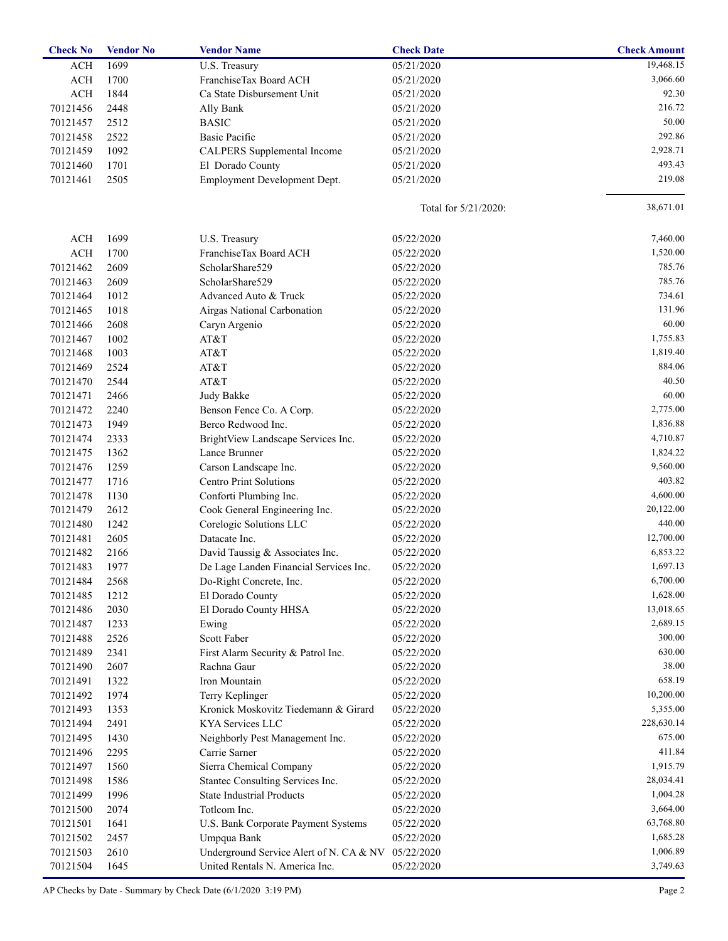| <b>Check No</b> | <b>Vendor No</b> | <b>Vendor Name</b>                      | <b>Check Date</b>    | <b>Check Amount</b> |
|-----------------|------------------|-----------------------------------------|----------------------|---------------------|
| <b>ACH</b>      | 1699             | U.S. Treasury                           | 05/21/2020           | 19,468.15           |
| ACH             | 1700             | FranchiseTax Board ACH                  | 05/21/2020           | 3,066.60            |
| <b>ACH</b>      | 1844             | Ca State Disbursement Unit              | 05/21/2020           | 92.30               |
| 70121456        | 2448             | Ally Bank                               | 05/21/2020           | 216.72              |
| 70121457        | 2512             | <b>BASIC</b>                            | 05/21/2020           | 50.00               |
| 70121458        | 2522             | <b>Basic Pacific</b>                    | 05/21/2020           | 292.86              |
| 70121459        | 1092             | CALPERS Supplemental Income             | 05/21/2020           | 2,928.71            |
| 70121460        | 1701             | El Dorado County                        | 05/21/2020           | 493.43              |
| 70121461        | 2505             | Employment Development Dept.            | 05/21/2020           | 219.08              |
|                 |                  |                                         | Total for 5/21/2020: | 38,671.01           |
| <b>ACH</b>      | 1699             | U.S. Treasury                           | 05/22/2020           | 7,460.00            |
| <b>ACH</b>      | 1700             | FranchiseTax Board ACH                  | 05/22/2020           | 1,520.00            |
| 70121462        | 2609             | ScholarShare529                         | 05/22/2020           | 785.76              |
| 70121463        | 2609             | ScholarShare529                         | 05/22/2020           | 785.76              |
| 70121464        | 1012             | Advanced Auto & Truck                   | 05/22/2020           | 734.61              |
| 70121465        | 1018             | Airgas National Carbonation             | 05/22/2020           | 131.96              |
| 70121466        | 2608             | Caryn Argenio                           | 05/22/2020           | 60.00               |
| 70121467        | 1002             | AT&T                                    | 05/22/2020           | 1,755.83            |
| 70121468        | 1003             | AT&T                                    | 05/22/2020           | 1,819.40            |
| 70121469        | 2524             | AT&T                                    | 05/22/2020           | 884.06              |
| 70121470        | 2544             | AT&T                                    | 05/22/2020           | 40.50               |
| 70121471        | 2466             | Judy Bakke                              | 05/22/2020           | 60.00               |
| 70121472        | 2240             | Benson Fence Co. A Corp.                | 05/22/2020           | 2,775.00            |
| 70121473        | 1949             | Berco Redwood Inc.                      | 05/22/2020           | 1,836.88            |
| 70121474        | 2333             | BrightView Landscape Services Inc.      | 05/22/2020           | 4,710.87            |
| 70121475        | 1362             | Lance Brunner                           | 05/22/2020           | 1,824.22            |
| 70121476        | 1259             | Carson Landscape Inc.                   | 05/22/2020           | 9,560.00            |
| 70121477        | 1716             | <b>Centro Print Solutions</b>           | 05/22/2020           | 403.82              |
| 70121478        | 1130             | Conforti Plumbing Inc.                  | 05/22/2020           | 4,600.00            |
| 70121479        | 2612             | Cook General Engineering Inc.           | 05/22/2020           | 20,122.00           |
| 70121480        | 1242             | Corelogic Solutions LLC                 | 05/22/2020           | 440.00              |
| 70121481        | 2605             | Datacate Inc.                           | 05/22/2020           | 12,700.00           |
| 70121482        | 2166             | David Taussig & Associates Inc.         | 05/22/2020           | 6,853.22            |
| 70121483        | 1977             | De Lage Landen Financial Services Inc.  | 05/22/2020           | 1,697.13            |
| 70121484        | 2568             | Do-Right Concrete, Inc.                 | 05/22/2020           | 6,700.00            |
| 70121485        | 1212             | El Dorado County                        | 05/22/2020           | 1,628.00            |
| 70121486        | 2030             | El Dorado County HHSA                   | 05/22/2020           | 13,018.65           |
| 70121487        | 1233             | Ewing                                   | 05/22/2020           | 2,689.15            |
| 70121488        | 2526             | Scott Faber                             | 05/22/2020           | 300.00              |
| 70121489        | 2341             | First Alarm Security & Patrol Inc.      | 05/22/2020           | 630.00              |
| 70121490        | 2607             | Rachna Gaur                             | 05/22/2020           | 38.00               |
| 70121491        | 1322             | Iron Mountain                           | 05/22/2020           | 658.19              |
| 70121492        | 1974             | Terry Keplinger                         | 05/22/2020           | 10,200.00           |
| 70121493        | 1353             | Kronick Moskovitz Tiedemann & Girard    | 05/22/2020           | 5,355.00            |
| 70121494        | 2491             | KYA Services LLC                        | 05/22/2020           | 228,630.14          |
| 70121495        | 1430             | Neighborly Pest Management Inc.         | 05/22/2020           | 675.00              |
| 70121496        | 2295             | Carrie Sarner                           | 05/22/2020           | 411.84              |
| 70121497        | 1560             | Sierra Chemical Company                 | 05/22/2020           | 1,915.79            |
| 70121498        | 1586             | Stantec Consulting Services Inc.        | 05/22/2020           | 28,034.41           |
| 70121499        | 1996             | <b>State Industrial Products</b>        | 05/22/2020           | 1,004.28            |
| 70121500        | 2074             | Totlcom Inc.                            | 05/22/2020           | 3,664.00            |
| 70121501        | 1641             | U.S. Bank Corporate Payment Systems     | 05/22/2020           | 63,768.80           |
| 70121502        | 2457             | Umpqua Bank                             | 05/22/2020           | 1,685.28            |
| 70121503        | 2610             | Underground Service Alert of N. CA & NV | 05/22/2020           | 1,006.89            |
| 70121504        | 1645             | United Rentals N. America Inc.          | 05/22/2020           | 3,749.63            |
|                 |                  |                                         |                      |                     |